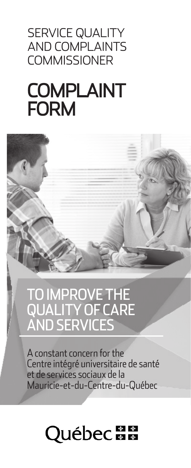### SERVICE QUALITY AND COMPLAINTS **COMMISSIONER**

# COMPLAINT FORM



# TO IMPROVE THE QUALITY OF CARE AND SERVICES

A constant concern for the Centre intégré universitaire de santé et de services sociaux de la Mauricie-et-du-Centre-du-Québec

# **Québec ##**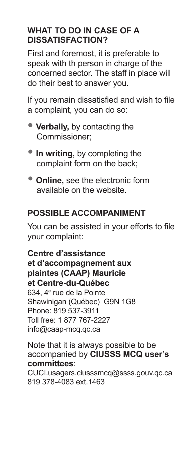#### **WHAT TO DO IN CASE OF A DISSATISFACTION?**

First and foremost, it is preferable to speak with th person in charge of the concerned sector. The staff in place will do their best to answer you.

If you remain dissatisfied and wish to file a complaint, you can do so:

- **Verbally,** by contacting the Commissioner;
- In writing, by completing the complaint form on the back;
- **Online,** see the electronic form available on the website.

#### **POSSIBLE ACCOMPANIMENT**

You can be assisted in your efforts to file your complaint:

**Centre d'assistance et d'accompagnement aux plaintes (CAAP) Mauricie et Centre-du-Québec** 634, 4<sup>e</sup> rue de la Pointe Shawinigan (Québec) G9N 1G8 Phone: 819 537-3911 Toll free: 1 877 767-2227 info@caap-mcq.qc.ca

Note that it is always possible to be accompanied by **CIUSSS MCQ user's committees**:

CUCI.usagers.ciusssmcq@ssss.gouv.qc.ca 819 378-4083 ext.1463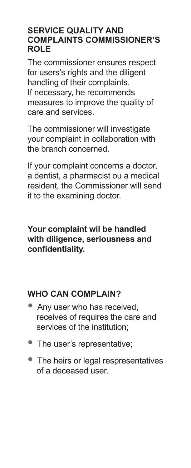#### **SERVICE QUALITY AND COMPLAINTS COMMISSIONER'S ROLE**

The commissioner ensures respect for users's rights and the diligent handling of their complaints. If necessary, he recommends measures to improve the quality of care and services.

The commissioner will investigate your complaint in collaboration with the branch concerned.

If your complaint concerns a doctor, a dentist, a pharmacist ou a medical resident, the Commissioner will send it to the examining doctor.

#### **Your complaint wil be handled with diligence, seriousness and confidentiality.**

#### **WHO CAN COMPLAIN?**

- Any user who has received, receives of requires the care and services of the institution;
- The user's representative;
- The heirs or legal respresentatives of a deceased user.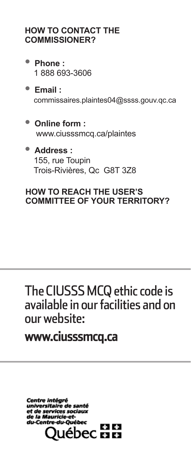#### **HOW TO CONTACT THE COMMISSIONER?**

- **Phone :** 1 888 693-3606
- **Email :** commissaires.plaintes04@ssss.gouv.qc.ca
- **Online form :** www.ciusssmcq.ca/plaintes
- **Address :** 155, rue Toupin Trois-Rivières, Qc G8T 3Z8

#### **HOW TO REACH THE USER'S COMMITTEE OF YOUR TERRITORY?**

## The CIUSSS MCQ ethic code is available in our facilities and on our website:

### www.ciusssmcq.ca

Centre intégré universitaire de santé et de services sociaux de la Mauricie-etdu-Centre-du-Ouébec  $+ 1 + 1$ ebec HH